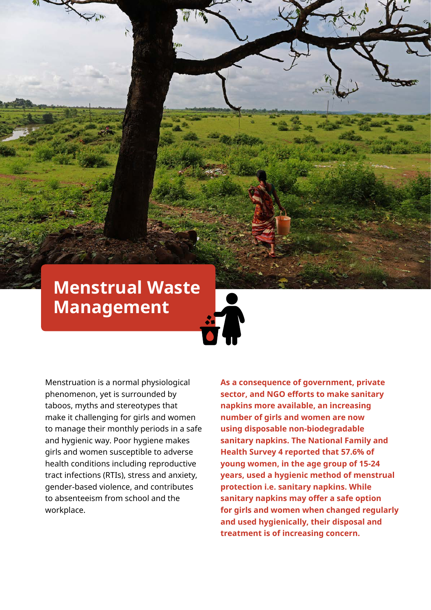# **Menstrual Waste Management**

Menstruation is a normal physiological phenomenon, yet is surrounded by taboos, myths and stereotypes that make it challenging for girls and women to manage their monthly periods in a safe and hygienic way. Poor hygiene makes girls and women susceptible to adverse health conditions including reproductive tract infections (RTIs), stress and anxiety, gender-based violence, and contributes to absenteeism from school and the workplace.

**As a consequence of government, private sector, and NGO efforts to make sanitary napkins more available, an increasing number of girls and women are now using disposable non-biodegradable sanitary napkins. The National Family and Health Survey 4 reported that 57.6% of young women, in the age group of 15-24 years, used a hygienic method of menstrual protection i.e. sanitary napkins. While sanitary napkins may offer a safe option for girls and women when changed regularly and used hygienically, their disposal and treatment is of increasing concern.**

WaterAid/ Anindito Mukherjee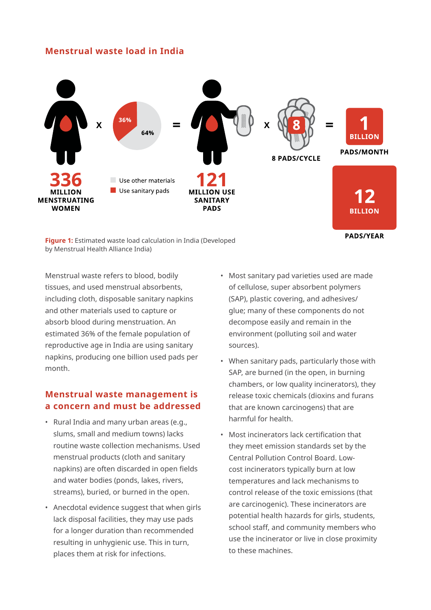## **Menstrual waste load in India**



**Figure 1:** Estimated waste load calculation in India (Developed by Menstrual Health Alliance India)

Menstrual waste refers to blood, bodily tissues, and used menstrual absorbents, including cloth, disposable sanitary napkins and other materials used to capture or absorb blood during menstruation. An estimated 36% of the female population of reproductive age in India are using sanitary napkins, producing one billion used pads per month.

## **Menstrual waste management is a concern and must be addressed**

- Rural India and many urban areas (e.g., slums, small and medium towns) lacks routine waste collection mechanisms. Used menstrual products (cloth and sanitary napkins) are often discarded in open fields and water bodies (ponds, lakes, rivers, streams), buried, or burned in the open.
- Anecdotal evidence suggest that when girls lack disposal facilities, they may use pads for a longer duration than recommended resulting in unhygienic use. This in turn, places them at risk for infections.
- Most sanitary pad varieties used are made of cellulose, super absorbent polymers (SAP), plastic covering, and adhesives/ glue; many of these components do not decompose easily and remain in the environment (polluting soil and water sources).
- When sanitary pads, particularly those with SAP, are burned (in the open, in burning chambers, or low quality incinerators), they release toxic chemicals (dioxins and furans that are known carcinogens) that are harmful for health.
- Most incinerators lack certification that they meet emission standards set by the Central Pollution Control Board. Lowcost incinerators typically burn at low temperatures and lack mechanisms to control release of the toxic emissions (that are carcinogenic). These incinerators are potential health hazards for girls, students, school staff, and community members who use the incinerator or live in close proximity to these machines.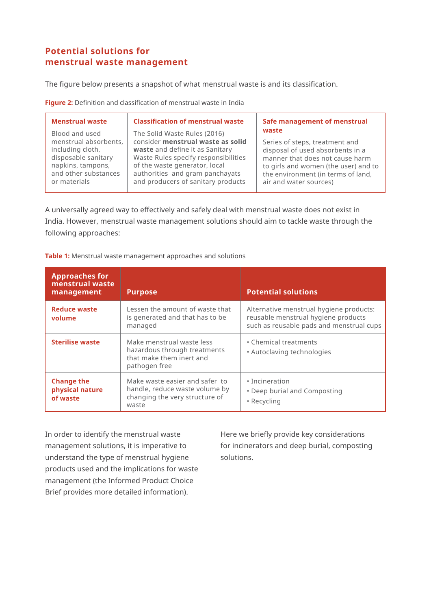## **Potential solutions for menstrual waste management**

The figure below presents a snapshot of what menstrual waste is and its classification.

**Figure 2:** Definition and classification of menstrual waste in India

| and producers of sanitary products<br>or materials<br>air and water sources) |
|------------------------------------------------------------------------------|
|------------------------------------------------------------------------------|

A universally agreed way to effectively and safely deal with menstrual waste does not exist in India. However, menstrual waste management solutions should aim to tackle waste through the following approaches:

**Table 1:** Menstrual waste management approaches and solutions

| <b>Approaches for</b><br>menstrual waste<br>management | <b>Purpose</b>                                                                                              | <b>Potential solutions</b>                                                                                                 |
|--------------------------------------------------------|-------------------------------------------------------------------------------------------------------------|----------------------------------------------------------------------------------------------------------------------------|
| <b>Reduce waste</b><br>volume                          | Lessen the amount of waste that<br>is generated and that has to be<br>managed                               | Alternative menstrual hygiene products:<br>reusable menstrual hygiene products<br>such as reusable pads and menstrual cups |
| <b>Sterilise waste</b>                                 | Make menstrual waste less<br>hazardous through treatments<br>that make them inert and<br>pathogen free      | • Chemical treatments<br>• Autoclaving technologies                                                                        |
| <b>Change the</b><br>physical nature<br>of waste       | Make waste easier and safer to<br>handle, reduce waste volume by<br>changing the very structure of<br>waste | • Incineration<br>• Deep burial and Composting<br>• Recycling                                                              |

In order to identify the menstrual waste management solutions, it is imperative to understand the type of menstrual hygiene products used and the implications for waste management (the Informed Product Choice Brief provides more detailed information).

Here we briefly provide key considerations for incinerators and deep burial, composting solutions.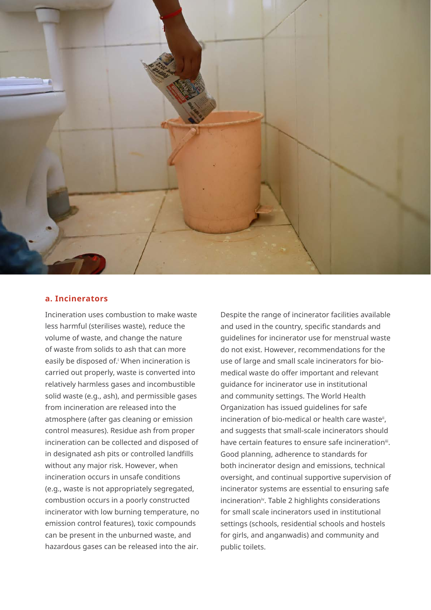

#### **a. Incinerators**

Incineration uses combustion to make waste less harmful (sterilises waste), reduce the volume of waste, and change the nature of waste from solids to ash that can more easily be disposed of. When incineration is carried out properly, waste is converted into relatively harmless gases and incombustible solid waste (e.g., ash), and permissible gases from incineration are released into the atmosphere (after gas cleaning or emission control measures). Residue ash from proper incineration can be collected and disposed of in designated ash pits or controlled landfills without any major risk. However, when incineration occurs in unsafe conditions (e.g., waste is not appropriately segregated, combustion occurs in a poorly constructed incinerator with low burning temperature, no emission control features), toxic compounds can be present in the unburned waste, and hazardous gases can be released into the air.

Despite the range of incinerator facilities available and used in the country, specific standards and guidelines for incinerator use for menstrual waste do not exist. However, recommendations for the use of large and small scale incinerators for biomedical waste do offer important and relevant guidance for incinerator use in institutional and community settings. The World Health Organization has issued guidelines for safe incineration of bio-medical or health care waste<sup>ii</sup>, and suggests that small-scale incinerators should have certain features to ensure safe incinerationiii. Good planning, adherence to standards for both incinerator design and emissions, technical oversight, and continual supportive supervision of incinerator systems are essential to ensuring safe incineration<sup>iv</sup>. Table 2 highlights considerations for small scale incinerators used in institutional settings (schools, residential schools and hostels for girls, and anganwadis) and community and public toilets.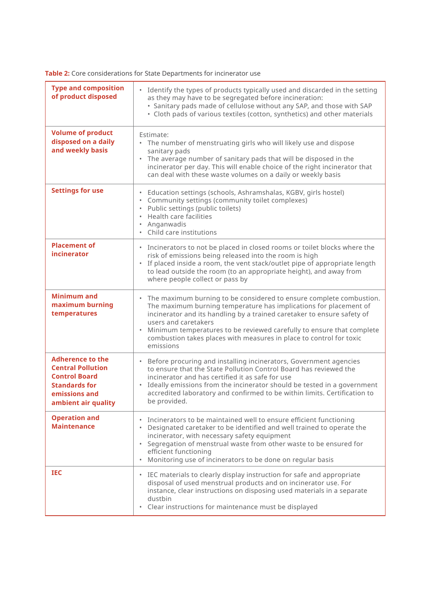**Table 2:** Core considerations for State Departments for incinerator use

| <b>Type and composition</b><br>of product disposed                                                                                          | $\bullet$<br>Identify the types of products typically used and discarded in the setting<br>as they may have to be segregated before incineration:<br>· Sanitary pads made of cellulose without any SAP, and those with SAP<br>· Cloth pads of various textiles (cotton, synthetics) and other materials                                                                                                                            |
|---------------------------------------------------------------------------------------------------------------------------------------------|------------------------------------------------------------------------------------------------------------------------------------------------------------------------------------------------------------------------------------------------------------------------------------------------------------------------------------------------------------------------------------------------------------------------------------|
| <b>Volume of product</b><br>disposed on a daily<br>and weekly basis                                                                         | Estimate:<br>The number of menstruating girls who will likely use and dispose<br>$\bullet$<br>sanitary pads<br>• The average number of sanitary pads that will be disposed in the<br>incinerator per day. This will enable choice of the right incinerator that<br>can deal with these waste volumes on a daily or weekly basis                                                                                                    |
| <b>Settings for use</b>                                                                                                                     | Education settings (schools, Ashramshalas, KGBV, girls hostel)<br>• Community settings (community toilet complexes)<br>Public settings (public toilets)<br>$\bullet$ .<br>Health care facilities<br>Anganwadis<br>• Child care institutions                                                                                                                                                                                        |
| <b>Placement of</b><br>incinerator                                                                                                          | • Incinerators to not be placed in closed rooms or toilet blocks where the<br>risk of emissions being released into the room is high<br>• If placed inside a room, the vent stack/outlet pipe of appropriate length<br>to lead outside the room (to an appropriate height), and away from<br>where people collect or pass by                                                                                                       |
| <b>Minimum and</b><br>maximum burning<br>temperatures                                                                                       | The maximum burning to be considered to ensure complete combustion.<br>$\bullet$<br>The maximum burning temperature has implications for placement of<br>incinerator and its handling by a trained caretaker to ensure safety of<br>users and caretakers<br>Minimum temperatures to be reviewed carefully to ensure that complete<br>$\bullet$<br>combustion takes places with measures in place to control for toxic<br>emissions |
| <b>Adherence to the</b><br><b>Central Pollution</b><br><b>Control Board</b><br><b>Standards for</b><br>emissions and<br>ambient air quality | Before procuring and installing incinerators, Government agencies<br>$\bullet$<br>to ensure that the State Pollution Control Board has reviewed the<br>incinerator and has certified it as safe for use<br>Ideally emissions from the incinerator should be tested in a government<br>$\bullet$<br>accredited laboratory and confirmed to be within limits. Certification to<br>be provided.                                       |
| <b>Operation and</b><br><b>Maintenance</b>                                                                                                  | Incinerators to be maintained well to ensure efficient functioning<br>Designated caretaker to be identified and well trained to operate the<br>incinerator, with necessary safety equipment<br>Segregation of menstrual waste from other waste to be ensured for<br>$\bullet$<br>efficient functioning<br>Monitoring use of incinerators to be done on regular basis<br>٠                                                          |
| <b>IEC</b>                                                                                                                                  | • IEC materials to clearly display instruction for safe and appropriate<br>disposal of used menstrual products and on incinerator use. For<br>instance, clear instructions on disposing used materials in a separate<br>dustbin<br>Clear instructions for maintenance must be displayed<br>$\bullet$                                                                                                                               |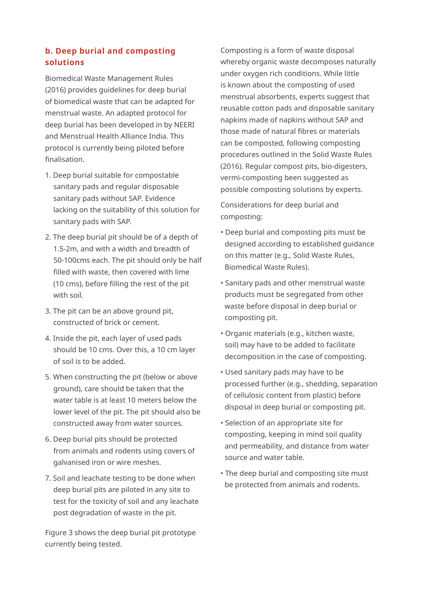## **b. Deep burial and composting solutions**

Biomedical Waste Management Rules (2016) provides guidelines for deep burial of biomedical waste that can be adapted for menstrual waste. An adapted protocol for deep burial has been developed in by NEERI and Menstrual Health Alliance India. This protocol is currently being piloted before finalisation.

- 1. Deep burial suitable for compostable sanitary pads and regular disposable sanitary pads without SAP. Evidence lacking on the suitability of this solution for sanitary pads with SAP.
- 2. The deep burial pit should be of a depth of 1.5-2m, and with a width and breadth of 50-100cms each. The pit should only be half filled with waste, then covered with lime (10 cms), before filling the rest of the pit with soil.
- 3. The pit can be an above ground pit, constructed of brick or cement.
- 4. Inside the pit, each layer of used pads should be 10 cms. Over this, a 10 cm layer of soil is to be added.
- 5. When constructing the pit (below or above ground), care should be taken that the water table is at least 10 meters below the lower level of the pit. The pit should also be constructed away from water sources.
- 6. Deep burial pits should be protected from animals and rodents using covers of galvanised iron or wire meshes.
- 7. Soil and leachate testing to be done when deep burial pits are piloted in any site to test for the toxicity of soil and any leachate post degradation of waste in the pit.

Figure 3 shows the deep burial pit prototype currently being tested.

Composting is a form of waste disposal whereby organic waste decomposes naturally under oxygen rich conditions. While little is known about the composting of used menstrual absorbents, experts suggest that reusable cotton pads and disposable sanitary napkins made of napkins without SAP and those made of natural fibres or materials can be composted, following composting procedures outlined in the Solid Waste Rules (2016). Regular compost pits, bio-digesters, vermi-composting been suggested as possible composting solutions by experts.

Considerations for deep burial and composting:

- Deep burial and composting pits must be designed according to established guidance on this matter (e.g., Solid Waste Rules, Biomedical Waste Rules).
- Sanitary pads and other menstrual waste products must be segregated from other waste before disposal in deep burial or composting pit.
- Organic materials (e.g., kitchen waste, soil) may have to be added to facilitate decomposition in the case of composting.
- Used sanitary pads may have to be processed further (e.g., shedding, separation of cellulosic content from plastic) before disposal in deep burial or composting pit.
- Selection of an appropriate site for composting, keeping in mind soil quality and permeability, and distance from water source and water table.
- The deep burial and composting site must be protected from animals and rodents.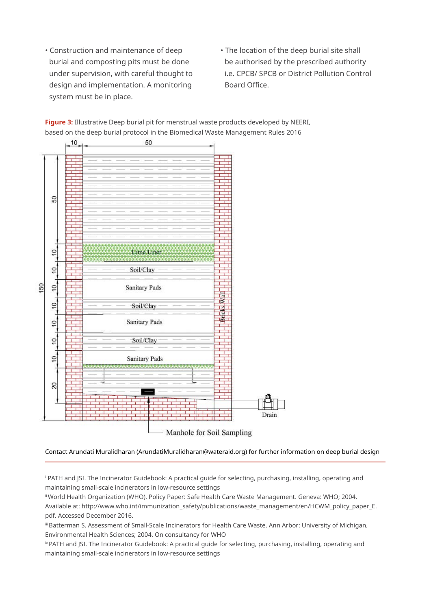- Construction and maintenance of deep burial and composting pits must be done under supervision, with careful thought to design and implementation. A monitoring system must be in place.
- The location of the deep burial site shall be authorised by the prescribed authority i.e. CPCB/ SPCB or District Pollution Control Board Office.



**Figure 3:** Illustrative Deep burial pit for menstrual waste products developed by NEERI, based on the deep burial protocol in the Biomedical Waste Management Rules 2016

Contact Arundati Muralidharan (ArundatiMuralidharan@wateraid.org) for further information on deep burial design

i PATH and JSI. The Incinerator Guidebook: A practical guide for selecting, purchasing, installing, operating and maintaining small-scale incinerators in low-resource settings

ii World Health Organization (WHO). Policy Paper: Safe Health Care Waste Management. Geneva: WHO; 2004. Available at: http://www.who.int/immunization\_safety/publications/waste\_management/en/HCWM\_policy\_paper\_E. pdf. Accessed December 2016.

iii Batterman S. Assessment of Small-Scale Incinerators for Health Care Waste. Ann Arbor: University of Michigan, Environmental Health Sciences; 2004. On consultancy for WHO

iv PATH and JSI. The Incinerator Guidebook: A practical guide for selecting, purchasing, installing, operating and maintaining small-scale incinerators in low-resource settings